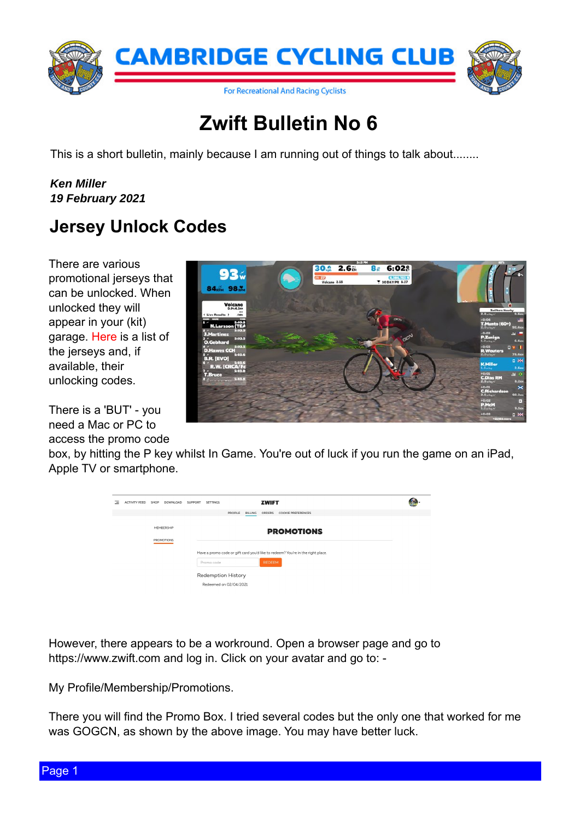## ] z liwExoohwlq Qr 9

Wilv lv d vkr uwexoot wiq/p dlqo| ehf dxvh Ldp uxqqlqj r xwr i wklqj v wr wdon der xw11111111

Nhq Plothu 4< I heuxdu| 5354

## Mhuvh| Xqor f n Fr ghv

Wkhuh duh ydur xv sur p r wir qdomhuvh| v wkdw f dq eh xqor f nhg1Z khq  $xq\sigma f$  nhg wkh  $|z|\sigma$ dsshdulq | r xu+nlw, j dudj h[1Khuh](https://zwiftinsider.com/kits/) lv d dvwr i wkh mhuvh| v dqg/li dydlodeoh/ wkhlu xqor f nlqj f r ghv1

With Iv d \*EXW\*0| r x qhhg d Pdf r uSF wr df f hvv wkh surpr fr gh er {/ e| klwlqj wkh S nh| z klovwlq J dp h1\ r x th r xwr i oxf n li | r x uxq wkh j dp h r q dq lSdg/ Dssoh WY ruvp dusskr qh1

Krzhyhu/ wkhuh dsshduv wr eh d z r unur xqg1Rshq d eur z vhusdj h dqg j r wr kwsv= $22$ z z 1} z liwf r p dqg or j lq1 F olf n r q | r xudydwdudqg j r wr = 0

P Sur ildn  $\mathbb P$  hp ehuvkls  $\mathbb Z$ ur pr wir qv1

Whuh | r x z looilqg wkh Sur p r Er { 1 Lwulhg vhyhudof r ghv exworkh r q o r qh wkdwz r unhg ir up h z dv J RJ FQ/ dv vkr z q e| wkh der yh lp dj h1\ r x p d| kdyh ehwhuoxf n1